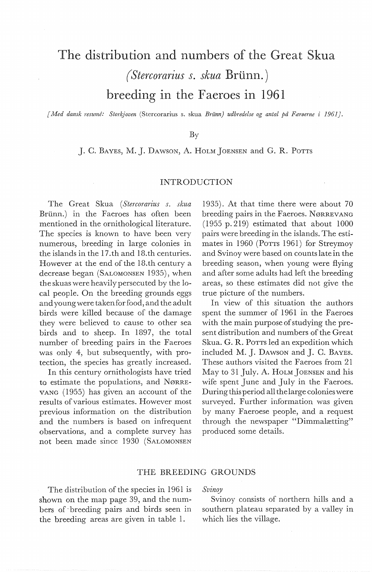# The distribution and numbers of the Great Skua *(Stercorarius s. skua Brünn.)* breeding in the Faeroes in 1961

*[Med dansk resume: Storkjoven* (Stercorarius s. skua *Briinn} udbredelse og antal* på *Færøerne i 1961].* 

# By

*].* C. BAYEs, M. J. DAWSON, A. HOLM JOENSEN and G. R. PoTTS

# INTRODUCTION

The Great Skua *(Stercorarius s. skua*  Brünn.) in the Faeroes has often been mentioned in the ornithological literature. The species is known to have been very numerous, breeding in large colonies in the islands in the 17.th and 18.th centuries. However at the end of the 18.th century a decrease began (SALOMONSEN 1935), when the skuas were heavily persecuted by the local people. On the breeding grounds eggs and youngwere takenforfood, and the adult birds were killed because of the damage they were believed to cause to other sea birds and to sheep. In 1897, the total number of breeding pairs in the Faeroes was only 4, but subsequently, with protection, the species has greatly increased.

In this century ornithologists have tried to estimate the populations, and NøRRE-VANG (1955) has given an account of the results of various estimates. However most previous information on the distribution and the numbers is based on infrequent observations, and a complete survey has not been made since 1930 (SALOMONSEN

1935). At that time there were about 70 breeding pairs in the Faeroes. NØRREVANG  $(1955 p. 219)$  estimated that about  $1000$ pairs were breeding in the islands. The estimates in 1960 (PoTTS 1961) for Streymoy and Svinoy were based on counts late in the breeding season, when young were flying and after some adults had left the breeding areas, so these estimates did not give the true picture of the numbers.

In view of this situation the authors spent the summer of 1961 in the Faeroes with the main purpose of studying the present distribution and numbers of the Great Skua. G. R. PoTTS led an expedition which included M. *].* DAWSON and J. C. BAYES. These authors visited the Faeroes from 21 May to 31 July. A. HOLM JOENSEN and his wife spent June and July in the Faeroes. Duringthisperiod all thelarge colonieswere surveyed. Further information was given by many Faeroese people, and a request through the newspaper "Dimmalætting" produced some details.

# THE BREEDING GROUNDS

The distribution of the species in 1961 is shown on the map page 39, and the numbers of -breeding pairs and birds seen in the breeding areas are given in table 1.

*Svinoy* 

Svinoy consists of northern hills and a southern plateau separated by a valley in which lies the village.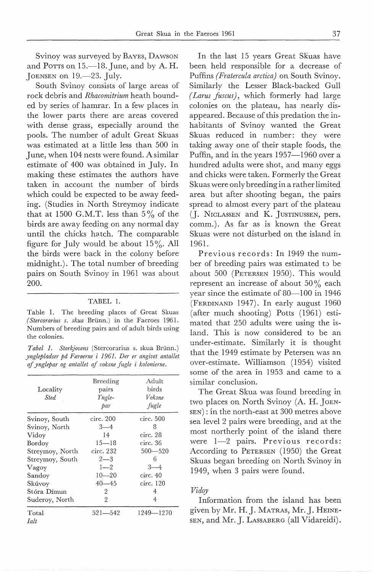Svinoy was surveyed by BAYES, DAWSON and Porrs on  $15$ — $18$ . June, and by A. H. JOENSEN on 19.—23. July.

South Svinoy consists of large areas of rock debris and *Rhacomitrium* heath bounded by series of hamrar. In a few places in the lower parts there are areas covered with dense grass, especially around the pools. The number of adult Great Skuas was estimated at a little less than 500 in June, when 104 nests were found. A similar estimate of 400 was obtained in July. In making these estimates the authors have taken in account the number of birds which could be expected to be away feeding. (Studies in North Streymoy indicate that at 1500 G.M.T. less than  $5\%$  of the birds are away feeding on any normal day until the chicks hatch. The comparable figure for July would be about  $15\%$ . All the birds were back in the colony before midnight.). The total number of breeding pairs on South Svinoy in 1961 was about 200.

#### TABEL 1.

Table 1. The breeding places of Great Skuas *(Stercorarius s. skua* Brunn.) in the Faeroes 1961. Numbers of breeding pairs and of adult bircls using the colonies.

*Tabel 1. Storkjovens* (Stercorarius s. skua Brunn.) *ynglepladser på Færøerne* i *1961. Der er angivet antallet af ynglepar og antallet af voksne fugle* i *kolonierne.* 

| Locality<br><b>Sted</b> | Breeding<br>pairs<br>Yngle-<br>par | Adult<br>birds<br>Voksne<br>fugle |
|-------------------------|------------------------------------|-----------------------------------|
| Svinoy, South           | circ. 200                          | circ.500                          |
| Svinoy, North           | $3 - 4$                            | 8                                 |
| Vidoy                   | 14                                 | circ. 28                          |
| Bordoy                  | $15 - 18$                          | circ. 36                          |
| Streymoy, North         | circ. 232                          | 500—520                           |
| Streymoy, South         | $2 - 3$                            | 6                                 |
| Vagoy                   | $1 - 2$                            | $3 - 4$                           |
| Sandoy                  | $10 - 20$                          | circ.40                           |
| Skúvoy                  | $40 - 45$                          | circ. 120                         |
| Stóra Dímun             | 2                                  | 4                                 |
| Suderoy, North          | $\overline{2}$                     | 4                                 |
| Total                   | $521 - 542$                        | 1249—1270                         |
| Ialt                    |                                    |                                   |

In the last 15 years Great Skuas have been held responsible for a decrease of Puffins *(Fratercula arctica)* on South Svinoy. Similarly the Lesser Black-backed Gull *( Larus fuscus),* which formerly had large colonies on the plateau, has nearly disappeared. Because of this predation the inhabitants of Svinoy wanted the Great Skuas reduced in number: they were taking away ane of their staple foods, the Puffin, and in the years 1957-1960 over a hundred adults were shot, and many eggs and chicks were taken. Formerly the Great Skuas were only breedingin a rather limited area but after shooting began, the pairs spread to almost every part of the plateau (J. N1cLASSEN and K. JusTINUSSEN, pers. comm.). As far as is known the Great Skuas were not disturbed on the island in 1961.

Previous records: In 1949 the number of breeding pairs was estimated *to* be about 500 (PETERSEN 1950). This would represent an increase of about  $50\%$  each year since the estimate of 80-100 in 1946 (FERDINAND 1947). In early august 1960 (after much shooting) Potts (1961) estimated that 250 adults were using the island. This is now considered to be an under-estimate. Similarly it is thought that the 1949 estimate by Petersen was an over-estimate. Williamson (1954) visited some of the area in 1953 and came to a similar conclusion.

The Great Skua was found breeding in two places on North Svinoy (A. H. JOEN-SEN): in the north-east at 300 metres above sea level 2 pairs were breeding, and at the most northerly point of the island there were 1-2 pairs. Previous records: According to PETERSEN (1950) the Great Skuas began breeding on North Svinov in 1949, when 3 pairs were found.

# *Vidoy*

Information from the island has been given by Mr. H.J. MATRAs, Mr.J. HEINE-SEN, and Mr. J. LASSABERG (all Vidareidi).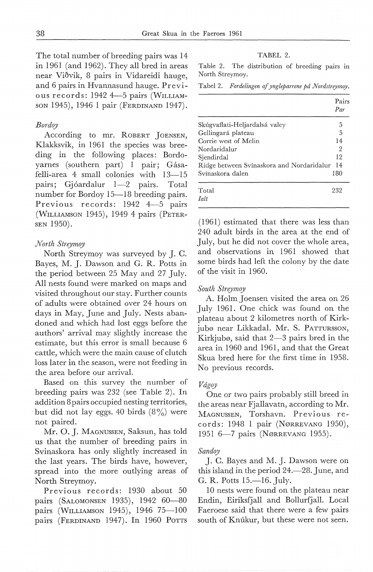The total number of breeding pairs was 14 in 1961 (and 1962). They all bred in areas near Viðvik, 8 pairs in Vidareidi hauge, and 6 pairs in Hvannasund hauge. Previous records: 1942 4-5 pairs (WILLIAMson 1945), 1946 1 pair (FERDINAND 1947).

# *Bordoy*

According to mr. ROBERT JOENSEN, Klakksvik, in 1961 the species was breeding in the following places: Bordoyarnes (southern part) I pair; Gásafelli-area 4 small colonies with 13-15 pairs; Gjóardalur 1-2 pairs. Total number for Bordoy 15-18 breeding pairs. Previous records: 1942 4-5 pairs (WILLIAMSON 1945), 1949 4 pairs (PETER-SEN 1950).

### *North Streymoy*

North Streymoy was surveyed by J. C. Bayes, M. J. Dawson and G. R. Potts in the period between 25 May and 27 July. All nests found were marked on maps and visited throughout our stay. Further counts of adults were obtained over 24 hours on days in May, June and July. Nests abandoned and which had lost eggs before the authors' arrival may slightly increase the estimate, but this error is small because 6 cattle, which were the main cause of clutch loss later in the season, were not feeding in the area before our arrival.

Based on this survey the number of breeding pairs was 232 (see Table 2). In addition 8pairs occupied nesting territories, but did not lay eggs. 40 birds  $(8\%)$  were not paired.

Mr. 0. J. MAGNUSSEN, Saksun, has told us that the number of breeding pairs in Svinaskora has only slightly increased in the last years. The birds have, however, spread into the more outlying areas of North Streymoy.

Previous records: 1930 about 50 pairs (SALOMONSEN 1935), 1942 60-80 pairs (WILLIAMSON 1945), 1946 75-100 pairs (FERDINAND 1947). In 1960 Ports

## TABEL 2.

Table 2. The distribution of breeding pairs in North Streymoy.

Tabel 2. *Fordelingen af yngleparrene på Nordstreymoy.* 

|                                           | Pairs<br>Par |
|-------------------------------------------|--------------|
| Skúgvaflati-Heljardalsá valey             | 5            |
| Gellingará plateau                        | 5            |
| Corrie west of Melin                      | 14           |
| Nordaridalur                              | 2            |
| Siendirdal                                | 12           |
| Ridge between Svinaskora and Nordaridalur | 14           |
| Svínaskora dalen                          | 180          |
| Total                                     | 232          |
| <b><i>Lalt</i></b>                        |              |

(1961) estimated that there was less than 240 adult birds in the area at the end of July, but he did not cover the whole area, and observations in 1961 showed that some birds had left the colony by the date of the visit in 1960.

#### *South Streymoy*

A. Holm Joensen visited the area on 26 July 1961. One chick was found on the plateau about 2 kilometres north of Kirkjubø near Likkadal. Mr. S. PATTURSSON, Kirkjubø, said that  $2-3$  pairs bred in the area in 1960 and 1961, and that the Great Skua bred here for the first time in 1958. No previous records.

#### *Vdgoy*

One or two pairs probably still breed in the areas near Fjallavatn, according to Mr. MAGNUSSEN, Torshavn. Previous records: 1948 l pair (NøRREVANG 1950), 1951 6-7 pairs (Nørrevang 1955).

#### *Sandoy*

J. C. Bayes and M. J. Dawson were on this island in the period 24.—28. June, and G. R. Potts 15.—16. July.

10 nests were found on the plateau near Endin, Eiriksfjall and Bollurfjall. Local Faeroese said that there were a few pairs south of Knúkur, but these were not seen.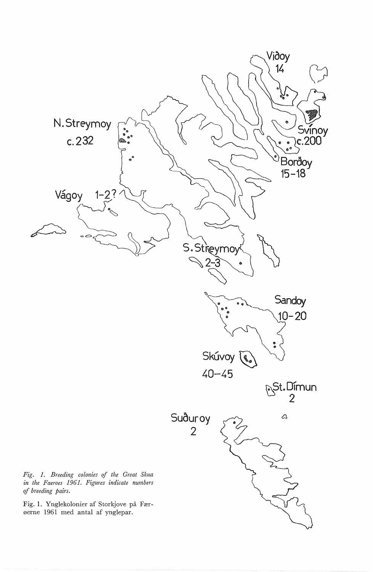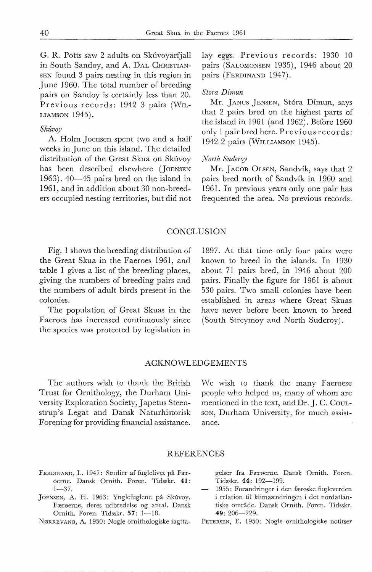G. R. Potts saw 2 adults on Skúvoyarfjall in South Sandoy, and A. DAL CHRISTIAN-SEN found 3 pairs nesting in this region in June 1960. The total number of breeding pairs on Sandoy is certainly less than 20. Previous records: 1942 3 pairs (WIL-LIAMSON 1945).

#### *Skuvoy*

A. Holm Joensen spent two and a half weeks in June on this island. The detailed distribution of the Great Skua on Skúvoy has been described elsewhere (JOENSEN 1963). 40-45 pairs bred on the island in 1961, and in addition about 30 non-breeders occupied nesting territories, but did not

lay eggs. Previous records: 1930 10 pairs (SALOMONSEN 1935), 1946 about 20 pairs (FERDINAND 1947).

## *Stora Dimun*

Mr. JANUS JENSEN, Stóra Dímun, says that 2 pairs bred on the highest parts of the island in 1961 (and 1962). Before 1960 only 1 pair bred here. Previous records: 1942 2 pairs (WILLIAMSON 1945).

# *North Suderoy*

Mr. JACOB OLSEN, Sandvik, says that 2 pairs bred north of Sandvik in 1960 and 1961. In previous years only one pair has frequented the area. No previous records.

# **CONCLUSION**

Fig. 1 shows the breeding distribution of the Great Skua in the Faeroes 1961, and table 1 gives a list of the breeding places, giving the numbers of breeding pairs and the numbers of adult birds present in the colonies.

The population of Great Skuas in the Faeroes has increased continuously since the species was protected by legislation in

1897. At that time only four pairs were known to breed in the islands. In 1930 about 71 pairs bred, in 1946 about 200 pairs. Finally the figure for 1961 is about 530 pairs. Two small colonies have been established in areas where Great Skuas have never before been known to breed (South Streymoy and North Suderoy).

# ACKNOWLEDGEMENTS

The authors wish to thank the British Trust for Ornithology, the Durham University Exploration Society, Japetus Steenstrup's Legat and Dansk Naturhistorisk Forening for providing financial assistance.

We wish to thank the many Faeroese people who helped us, many of whom are mentioned in the text, and Dr. J. C. CouLson, Durham University, for much assistance.

## REFERENCES

- FERDINAND, L. 1947: Studier af fuglelivet på Færøerne. Dansk Ornith. Foren. Tidsskr. 41:  $1 - 37.$
- JOENSEN, A. H. 1963: Ynglefuglene på Skúvoy, Færøerne, deres udbredelse og antal. Dansk Ornith. Foren. Tidsskr. 57: 1-18.
- NøRREVANG, A. 1950: Nogle ornithologiske iagtta-

gelser fra Færøerne. Dansk Ornith. Foren. Tidsskr. 44: 192-199.

1955: Forandringer i den færøske fugleverden i relation til klimaændringen i det nordatlantiske område. Dansk Ornith. Foren. Tidsskr. 49: 206-229.

PETERSEN, E. 1950: Nogle ornithologiske notitser